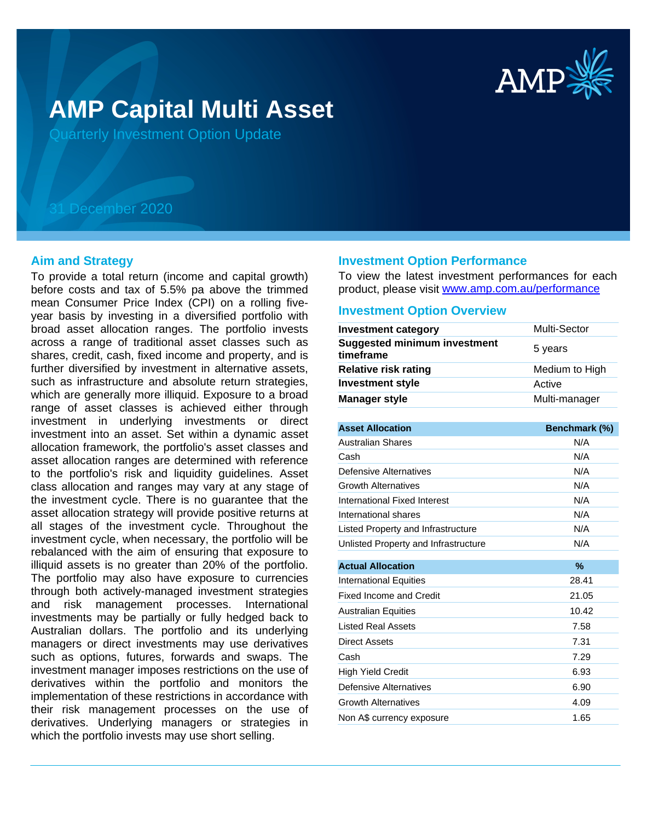

# **AMP Capital Multi Asset**

Quarterly Investment Option Update

## 31 December 2020

#### **Aim and Strategy**

To provide a total return (income and capital growth) before costs and tax of 5.5% pa above the trimmed mean Consumer Price Index (CPI) on a rolling fiveyear basis by investing in a diversified portfolio with broad asset allocation ranges. The portfolio invests across a range of traditional asset classes such as shares, credit, cash, fixed income and property, and is further diversified by investment in alternative assets, such as infrastructure and absolute return strategies, which are generally more illiquid. Exposure to a broad range of asset classes is achieved either through investment in underlying investments or direct investment into an asset. Set within a dynamic asset allocation framework, the portfolio's asset classes and asset allocation ranges are determined with reference to the portfolio's risk and liquidity guidelines. Asset class allocation and ranges may vary at any stage of the investment cycle. There is no guarantee that the asset allocation strategy will provide positive returns at all stages of the investment cycle. Throughout the investment cycle, when necessary, the portfolio will be rebalanced with the aim of ensuring that exposure to illiquid assets is no greater than 20% of the portfolio. The portfolio may also have exposure to currencies through both actively-managed investment strategies and risk management processes. International investments may be partially or fully hedged back to Australian dollars. The portfolio and its underlying managers or direct investments may use derivatives such as options, futures, forwards and swaps. The investment manager imposes restrictions on the use of derivatives within the portfolio and monitors the implementation of these restrictions in accordance with their risk management processes on the use of derivatives. Underlying managers or strategies in which the portfolio invests may use short selling.

#### **Investment Option Performance**

product, please visit www.amp.com.au/performance To view the latest investment performances for each

#### **Investment Option Overview**

| <b>Investment category</b>                       | <b>Multi-Sector</b> |
|--------------------------------------------------|---------------------|
| <b>Suggested minimum investment</b><br>timeframe | 5 years             |
| <b>Relative risk rating</b>                      | Medium to High      |
| <b>Investment style</b>                          | Active              |
| <b>Manager style</b>                             | Multi-manager       |
|                                                  |                     |

| <b>Asset Allocation</b>              | Benchmark (%) |
|--------------------------------------|---------------|
| Australian Shares                    | N/A           |
| Cash                                 | N/A           |
| Defensive Alternatives               | N/A           |
| <b>Growth Alternatives</b>           | N/A           |
| International Fixed Interest         | N/A           |
| International shares                 | N/A           |
| Listed Property and Infrastructure   | N/A           |
| Unlisted Property and Infrastructure | N/A           |
|                                      |               |
| <b>Actual Allocation</b>             | $\%$          |
| <b>International Equities</b>        | 28.41         |
| <b>Fixed Income and Credit</b>       | 21.05         |
| <b>Australian Equities</b>           | 10.42         |
| <b>Listed Real Assets</b>            | 7.58          |
| <b>Direct Assets</b>                 | 7.31          |
| Cash                                 | 7.29          |
| <b>High Yield Credit</b>             | 6.93          |
| Defensive Alternatives               | 6.90          |
| <b>Growth Alternatives</b>           | 4.09          |
| Non A\$ currency exposure            | 1.65          |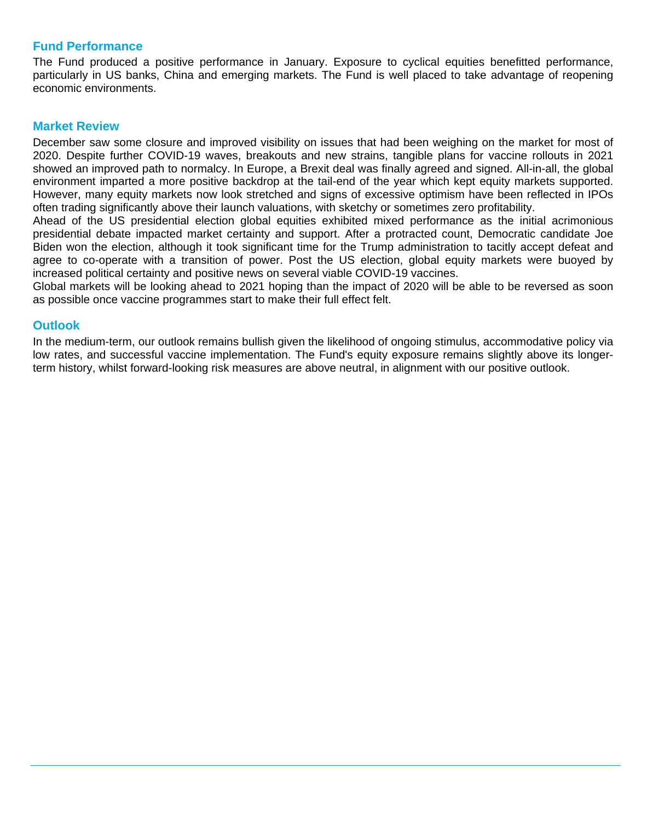### **Fund Performance**

The Fund produced a positive performance in January. Exposure to cyclical equities benefitted performance, particularly in US banks, China and emerging markets. The Fund is well placed to take advantage of reopening economic environments.

#### **Market Review**

December saw some closure and improved visibility on issues that had been weighing on the market for most of 2020. Despite further COVID-19 waves, breakouts and new strains, tangible plans for vaccine rollouts in 2021 showed an improved path to normalcy. In Europe, a Brexit deal was finally agreed and signed. All-in-all, the global environment imparted a more positive backdrop at the tail-end of the year which kept equity markets supported. However, many equity markets now look stretched and signs of excessive optimism have been reflected in IPOs often trading significantly above their launch valuations, with sketchy or sometimes zero profitability.

Ahead of the US presidential election global equities exhibited mixed performance as the initial acrimonious presidential debate impacted market certainty and support. After a protracted count, Democratic candidate Joe Biden won the election, although it took significant time for the Trump administration to tacitly accept defeat and agree to co-operate with a transition of power. Post the US election, global equity markets were buoyed by increased political certainty and positive news on several viable COVID-19 vaccines.

Global markets will be looking ahead to 2021 hoping than the impact of 2020 will be able to be reversed as soon as possible once vaccine programmes start to make their full effect felt.

#### **Outlook**

In the medium-term, our outlook remains bullish given the likelihood of ongoing stimulus, accommodative policy via low rates, and successful vaccine implementation. The Fund's equity exposure remains slightly above its longerterm history, whilst forward-looking risk measures are above neutral, in alignment with our positive outlook.